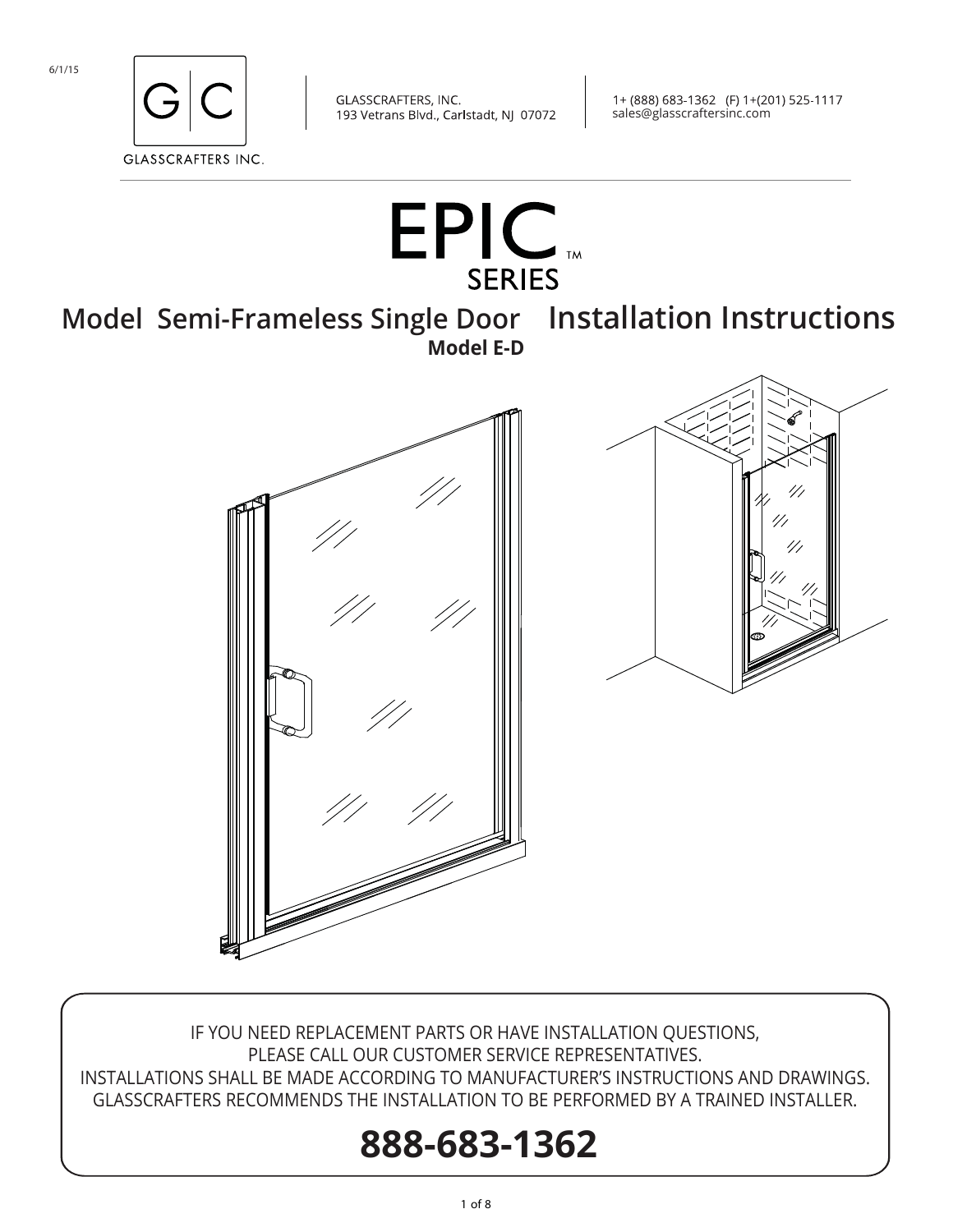

1+ (888) 683-1362 (F) 1+(201) 525-1117 sales@glasscraftersinc.com



IF YOU NEED REPLACEMENT PARTS OR HAVE INSTALLATION QUESTIONS, PLEASE CALL OUR CUSTOMER SERVICE REPRESENTATIVES. INSTALLATIONS SHALL BE MADE ACCORDING TO MANUFACTURER'S INSTRUCTIONS AND DRAWINGS. GLASSCRAFTERS RECOMMENDS THE INSTALLATION TO BE PERFORMED BY A TRAINED INSTALLER.

# **888-683-1362**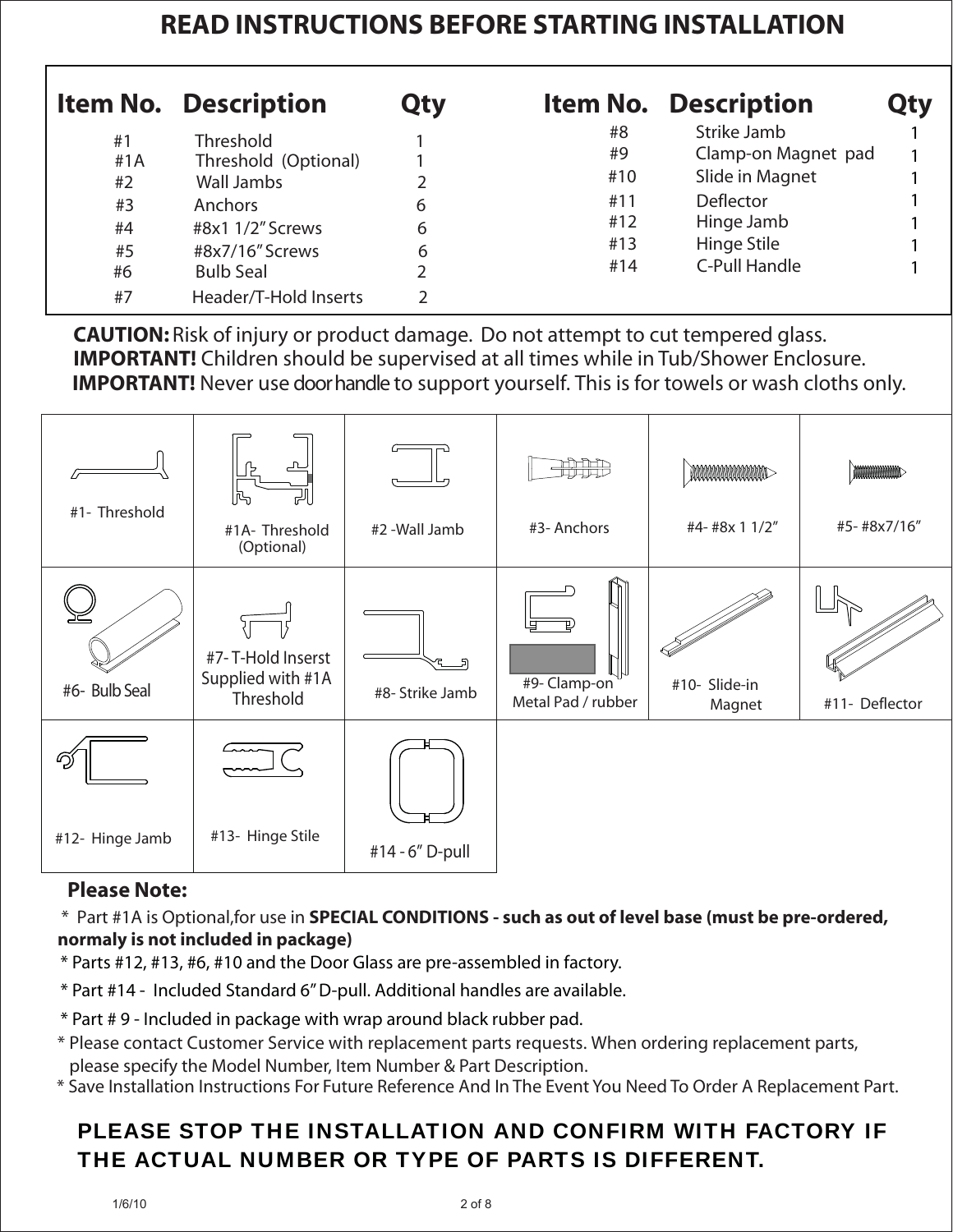# **READ INSTRUCTIONS BEFORE STARTING INSTALLATION**

|                                            | <b>Item No. Description</b>                                                                                           | <b>Qty</b>  |                                             | <b>Item No. Description</b>                                                                                                    | <b>Qty</b> |
|--------------------------------------------|-----------------------------------------------------------------------------------------------------------------------|-------------|---------------------------------------------|--------------------------------------------------------------------------------------------------------------------------------|------------|
| #1<br>#1 $A$<br>#2<br>#3<br>#4<br>#5<br>#6 | Threshold<br>Threshold (Optional)<br>Wall Jambs<br>Anchors<br>#8x1 1/2" Screws<br>#8x7/16" Screws<br><b>Bulb Seal</b> | 6<br>6<br>6 | #8<br>#9<br>#10<br>#11<br>#12<br>#13<br>#14 | Strike Jamb<br>Clamp-on Magnet pad<br>Slide in Magnet<br><b>Deflector</b><br>Hinge Jamb<br>Hinge Stile<br><b>C-Pull Handle</b> |            |
| #7                                         | Header/T-Hold Inserts                                                                                                 |             |                                             |                                                                                                                                |            |

 **CAUTION:** Risk of injury or product damage. Do not attempt to cut tempered glass. **IMPORTANT!** Children should be supervised at all times while in Tub/Shower Enclosure. **IMPORTANT!** Never use door handle to support yourself. This is for towels or wash cloths only.



#### **Please Note:**

\* Part #1A is Optional,for use in **SPECIAL CONDITIONS - such as out of level base (must be pre-ordered, normaly is not included in package)**

- \* Parts #12, #13, #6, #10 and the Door Glass are pre-assembled in factory.
- \* Part #14 Included Standard 6" D-pull. Additional handles are available.
- \* Part # 9 Included in package with wrap around black rubber pad.
- \* Please contact Customer Service with replacement parts requests. When ordering replacement parts, please specify the Model Number, Item Number & Part Description.
- \* Save Installation Instructions For Future Reference And In The Event You Need To Order A Replacement Part.

## PLEASE STOP THE INSTALLATION AND CONFIRM WITH FACTORY IF THE ACTUAL NUMBER OR TYPE OF PARTS IS DIFFERENT.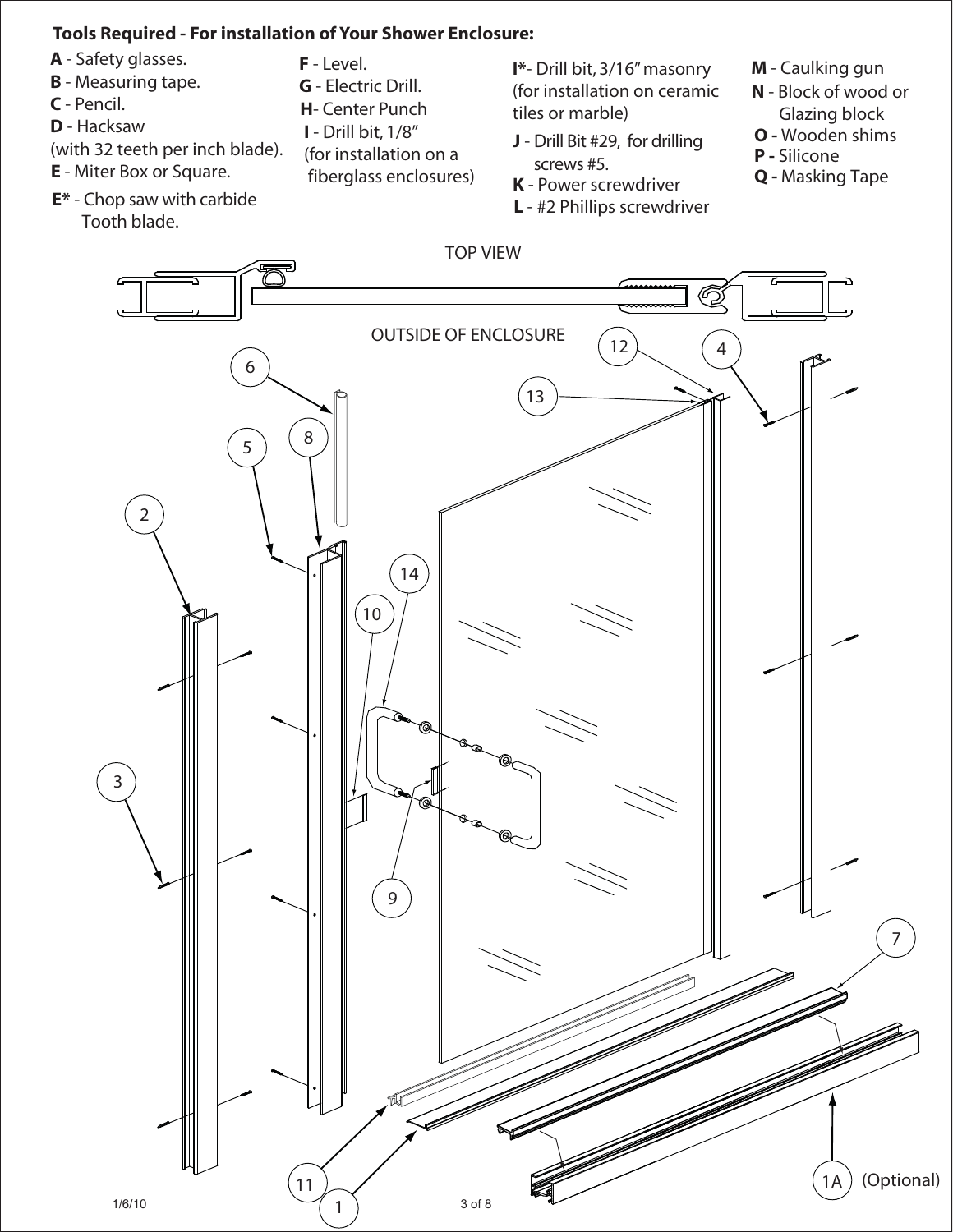#### **Tools Required - For installation of Your Shower Enclosure:**

- **A**  Safety glasses.
- **B** Measuring tape.
- **C** Pencil.
- **D** Hacksaw
- (with 32 teeth per inch blade).
- **E**  Miter Box or Square.
- **E\*** Chop saw with carbide Tooth blade.
- **F** Level.
- **G** Electric Drill.
- **H** Center Punch
- **I** Drill bit, 1/8"
- (for installation on a
- fiberglass enclosures)

**I\***- Drill bit, 3/16" masonry (for installation on ceramic tiles or marble)

- **J** Drill Bit #29, for drilling screws #5.
- **K** Power screwdriver
- **L** #2 Phillips screwdriver
- **M** Caulking gun
- **N** Block of wood or Glazing block
- **O** Wooden shims
- **P** Silicone
- **Q** Masking Tape

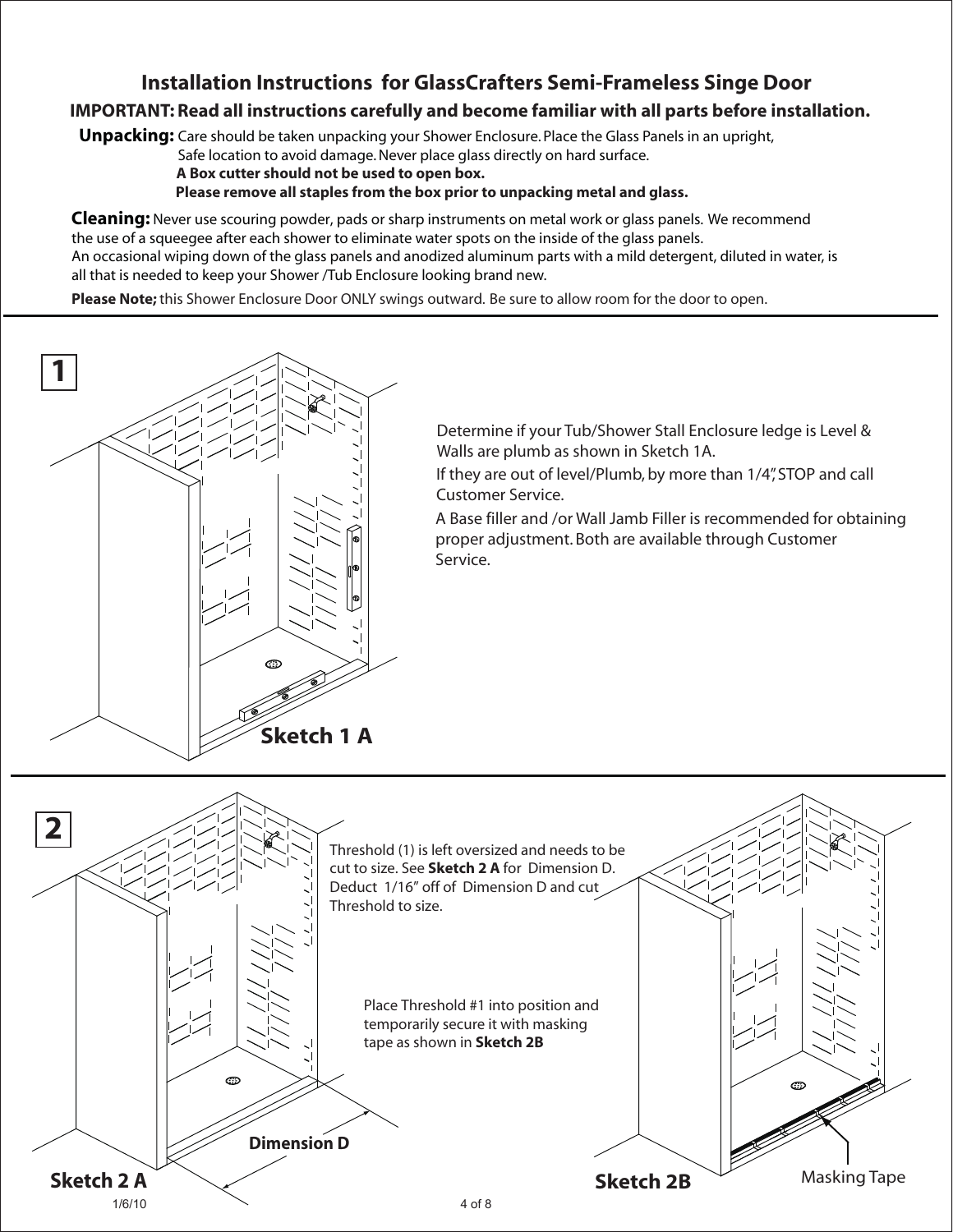### **Installation Instructions for GlassCrafters Semi-Frameless Singe Door**

#### **IMPORTANT: Read all instructions carefully and become familiar with all parts before installation.**

**Unpacking:** Care should be taken unpacking your Shower Enclosure. Place the Glass Panels in an upright,

Safe location to avoid damage. Never place glass directly on hard surface.

 **A Box cutter should not be used to open box.**

 **Please remove all staples from the box prior to unpacking metal and glass.**

**Cleaning:** Never use scouring powder, pads or sharp instruments on metal work or glass panels. We recommend the use of a squeegee after each shower to eliminate water spots on the inside of the glass panels. An occasional wiping down of the glass panels and anodized aluminum parts with a mild detergent, diluted in water, is all that is needed to keep your Shower /Tub Enclosure looking brand new.

**Please Note;** this Shower Enclosure Door ONLY swings outward. Be sure to allow room for the door to open.



Determine if your Tub/Shower Stall Enclosure ledge is Level & Walls are plumb as shown in Sketch 1A.

If they are out of level/Plumb, by more than 1/4", STOP and call Customer Service.

A Base filler and /or Wall Jamb Filler is recommended for obtaining proper adjustment. Both are available through Customer Service.

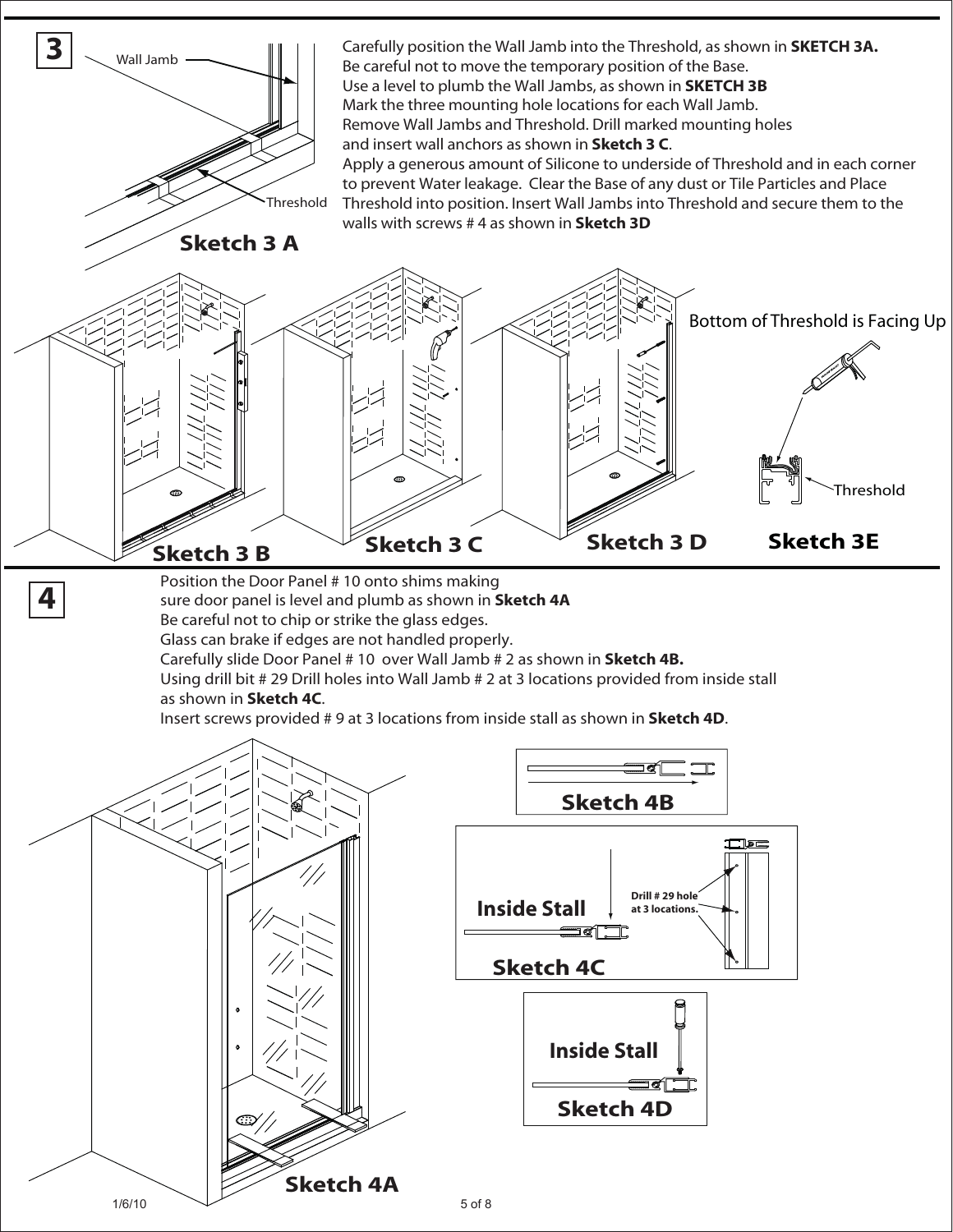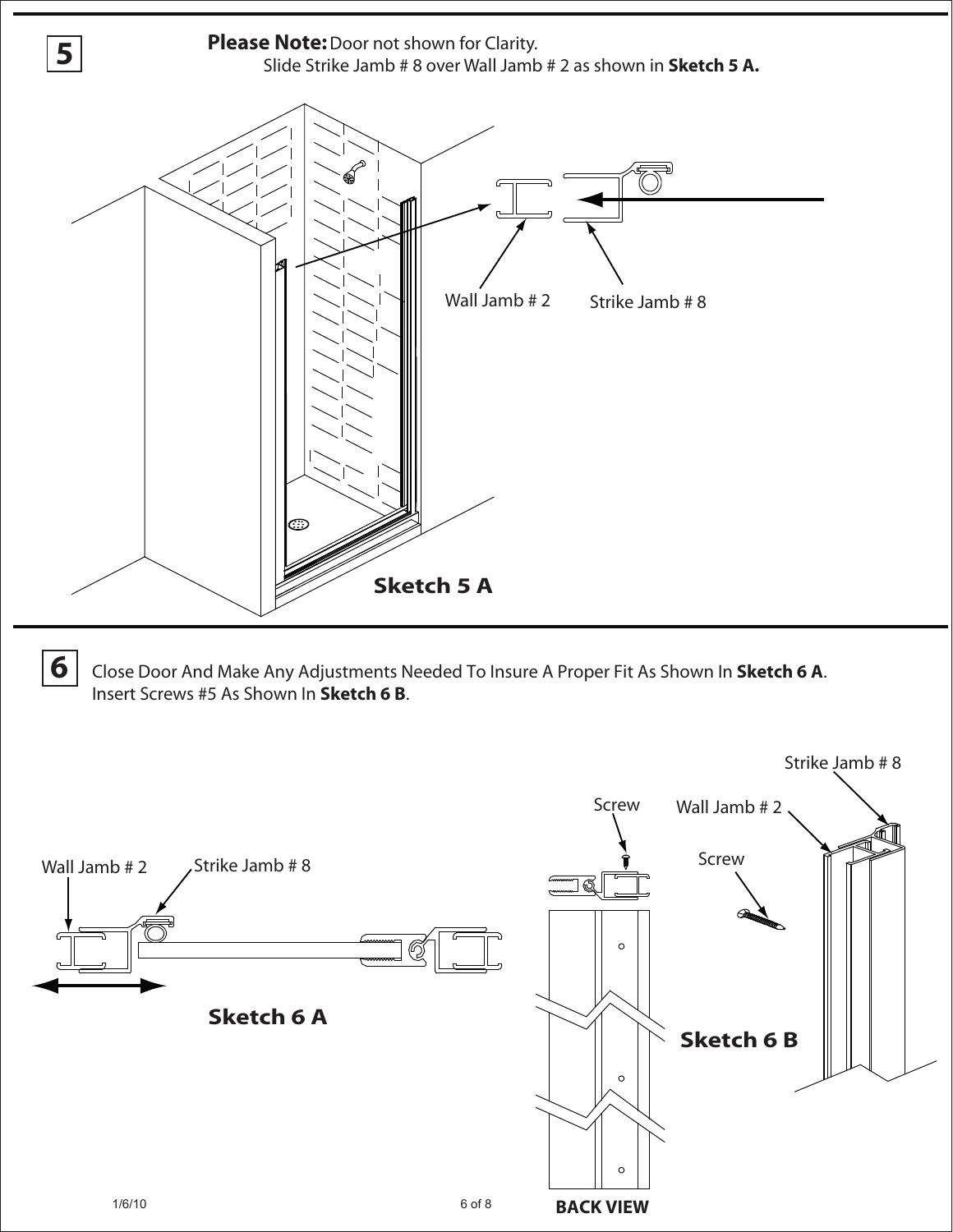

**6** Close Door And Make Any Adjustments Needed To Insure A Proper Fit As Shown In **Sketch 6 A**. Insert Screws #5 As Shown In **Sketch 6 B**.

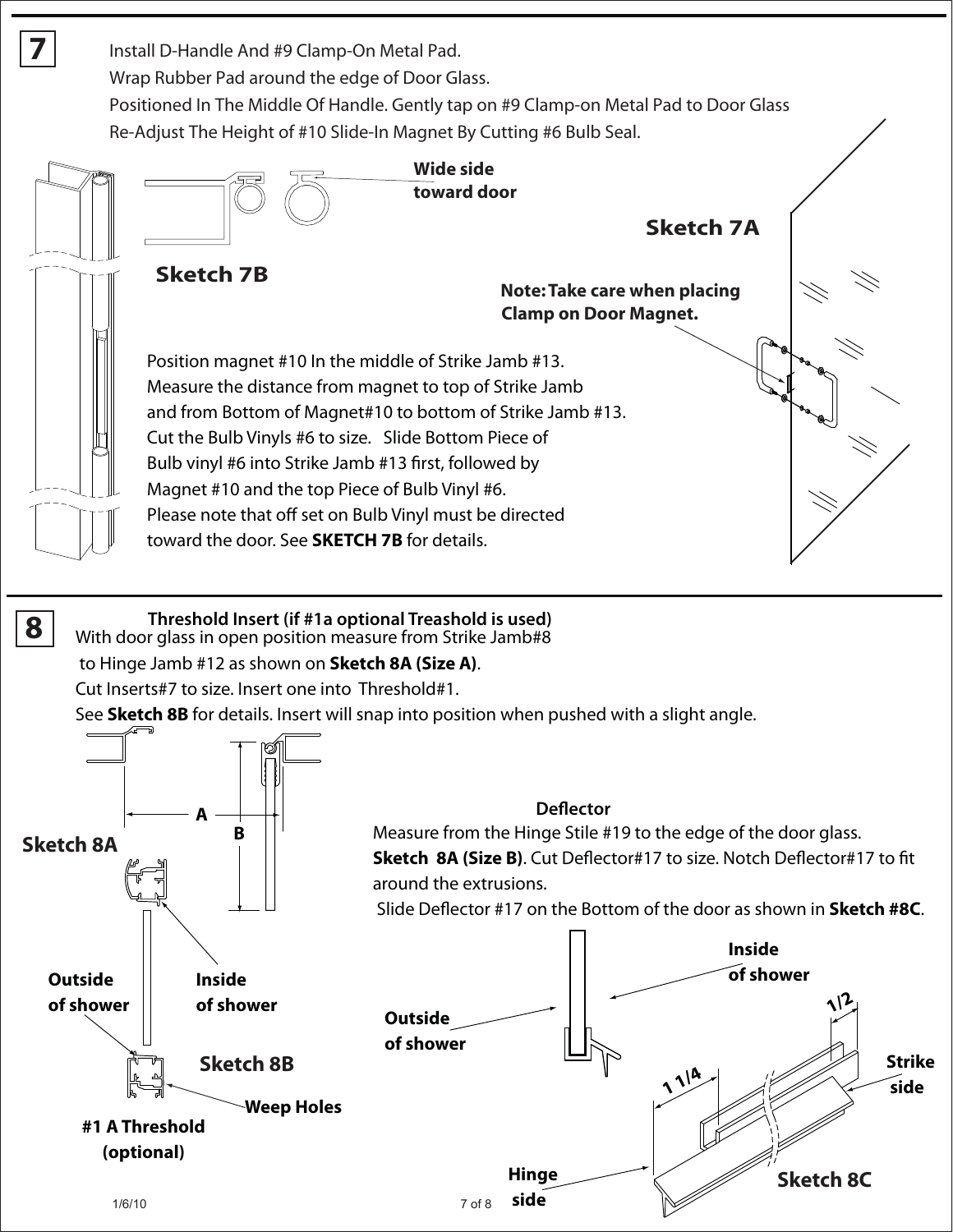**Wide side toward door**  Install D-Handle And #9 Clamp-On Metal Pad. Wrap Rubber Pad around the edge of Door Glass. Positioned In The Middle Of Handle. Gently tap on #9 Clamp-on Metal Pad to Door Glass Re-Adjust The Height of #10 Slide-In Magnet By Cutting #6 Bulb Seal.



**7**

#### **8** With door glass in open position measure from Strike Jamb#8 **Threshold Insert (if #1a optional Treashold is used)**

#### to Hinge Jamb #12 as shown on **Sketch 8A (Size A)**.

Cut Inserts#7 to size. Insert one into Threshold#1.

See **Sketch 8B** for details. Insert will snap into position when pushed with a slight angle.